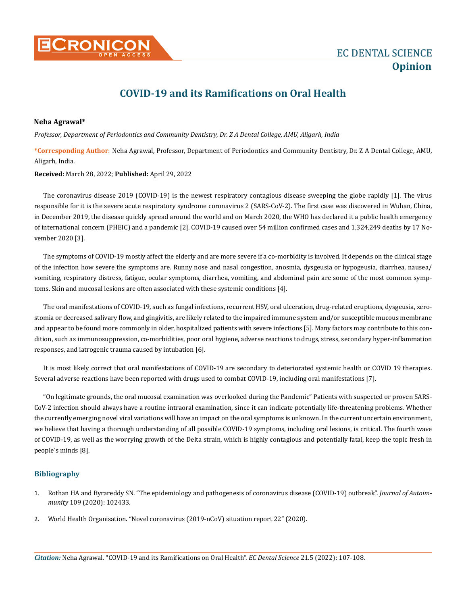

## **COVID-19 and its Ramifications on Oral Health**

## **Neha Agrawal\***

*Professor, Department of Periodontics and Community Dentistry, Dr. Z A Dental College, AMU, Aligarh, India*

**\*Corresponding Author**: Neha Agrawal, Professor, Department of Periodontics and Community Dentistry, Dr. Z A Dental College, AMU, Aligarh, India.

**Received:** March 28, 2022; **Published:** April 29, 2022

The coronavirus disease 2019 (COVID-19) is the newest respiratory contagious disease sweeping the globe rapidly [1]. The virus responsible for it is the severe acute respiratory syndrome coronavirus 2 (SARS-CoV-2). The first case was discovered in Wuhan, China, in December 2019, the disease quickly spread around the world and on March 2020, the WHO has declared it a public health emergency of international concern (PHEIC) and a pandemic [2]. COVID-19 caused over 54 million confirmed cases and 1,324,249 deaths by 17 November 2020 [3].

The symptoms of COVID-19 mostly affect the elderly and are more severe if a co-morbidity is involved. It depends on the clinical stage of the infection how severe the symptoms are. Runny nose and nasal congestion, anosmia, dysgeusia or hypogeusia, diarrhea, nausea/ vomiting, respiratory distress, fatigue, ocular symptoms, diarrhea, vomiting, and abdominal pain are some of the most common symptoms. Skin and mucosal lesions are often associated with these systemic conditions [4].

The oral manifestations of COVID-19, such as fungal infections, recurrent HSV, oral ulceration, drug-related eruptions, dysgeusia, xerostomia or decreased salivary flow, and gingivitis, are likely related to the impaired immune system and/or susceptible mucous membrane and appear to be found more commonly in older, hospitalized patients with severe infections [5]. Many factors may contribute to this condition, such as immunosuppression, co-morbidities, poor oral hygiene, adverse reactions to drugs, stress, secondary hyper-inflammation responses, and iatrogenic trauma caused by intubation [6].

It is most likely correct that oral manifestations of COVID-19 are secondary to deteriorated systemic health or COVID 19 therapies. Several adverse reactions have been reported with drugs used to combat COVID-19, including oral manifestations [7].

"On legitimate grounds, the oral mucosal examination was overlooked during the Pandemic" Patients with suspected or proven SARS-CoV-2 infection should always have a routine intraoral examination, since it can indicate potentially life-threatening problems. Whether the currently emerging novel viral variations will have an impact on the oral symptoms is unknown. In the current uncertain environment, we believe that having a thorough understanding of all possible COVID-19 symptoms, including oral lesions, is critical. The fourth wave of COVID-19, as well as the worrying growth of the Delta strain, which is highly contagious and potentially fatal, keep the topic fresh in people's minds [8].

## **Bibliography**

- 1. [Rothan HA and Byrareddy SN. "The epidemiology and pathogenesis of coronavirus disease \(COVID-19\) outbreak".](https://pubmed.ncbi.nlm.nih.gov/32113704/) *Journal of Autoimmunity* [109 \(2020\): 102433.](https://pubmed.ncbi.nlm.nih.gov/32113704/)
- 2. [World Health Organisation. "Novel coronavirus \(2019-nCoV\) situation report 22" \(2020\).](https://apps.who.int/iris/handle/10665/330991)